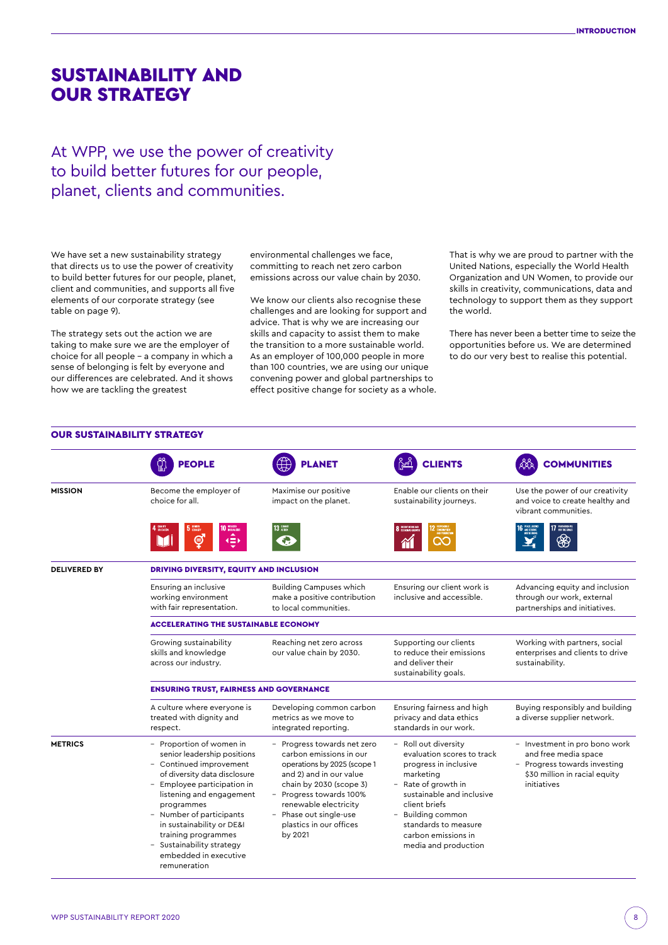# SUSTAINABILITY AND **OUR STRATEGY**

## At WPP, we use the power of creativity to build better futures for our people, planet, clients and communities.

We have set a new sustainability strategy that directs us to use the power of creativity to build better futures for our people, planet, client and communities, and supports all five elements of our corporate strategy (see table on page 9).

The strategy sets out the action we are taking to make sure we are the employer of choice for all people – a company in which a sense of belonging is felt by everyone and our differences are celebrated. And it shows how we are tackling the greatest

environmental challenges we face, committing to reach net zero carbon emissions across our value chain by 2030.

We know our clients also recognise these challenges and are looking for support and advice. That is why we are increasing our skills and capacity to assist them to make the transition to a more sustainable world. As an employer of 100,000 people in more than 100 countries, we are using our unique convening power and global partnerships to effect positive change for society as a whole. That is why we are proud to partner with the United Nations, especially the World Health Organization and UN Women, to provide our skills in creativity, communications, data and technology to support them as they support the world.

There has never been a better time to seize the opportunities before us. We are determined to do our very best to realise this potential.

### OUR SUSTAINABILITY STRATEGY

|                     | <b>PEOPLE</b>                                                                                                                                                                                                                                                                                                                                     | <b>PLANET</b>                                                                                                                                                                                                                                                   | <b>CLIENTS</b>                                                                                                                                                                                                                                            | <b>COMMUNITIES</b>                                                                                                                                              |  |
|---------------------|---------------------------------------------------------------------------------------------------------------------------------------------------------------------------------------------------------------------------------------------------------------------------------------------------------------------------------------------------|-----------------------------------------------------------------------------------------------------------------------------------------------------------------------------------------------------------------------------------------------------------------|-----------------------------------------------------------------------------------------------------------------------------------------------------------------------------------------------------------------------------------------------------------|-----------------------------------------------------------------------------------------------------------------------------------------------------------------|--|
| <b>MISSION</b>      | Become the employer of<br>choice for all.                                                                                                                                                                                                                                                                                                         | Maximise our positive<br>impact on the planet.                                                                                                                                                                                                                  | Enable our clients on their<br>sustainability journeys.                                                                                                                                                                                                   | Use the power of our creativity<br>and voice to create healthy and<br>vibrant communities.                                                                      |  |
|                     | ⊜                                                                                                                                                                                                                                                                                                                                                 |                                                                                                                                                                                                                                                                 |                                                                                                                                                                                                                                                           | ₩                                                                                                                                                               |  |
| <b>DELIVERED BY</b> | DRIVING DIVERSITY, EQUITY AND INCLUSION                                                                                                                                                                                                                                                                                                           |                                                                                                                                                                                                                                                                 |                                                                                                                                                                                                                                                           |                                                                                                                                                                 |  |
|                     | Ensuring an inclusive<br>working environment<br>with fair representation.                                                                                                                                                                                                                                                                         | <b>Building Campuses which</b><br>make a positive contribution<br>to local communities.                                                                                                                                                                         | Ensuring our client work is<br>inclusive and accessible.                                                                                                                                                                                                  | Advancing equity and inclusion<br>through our work, external<br>partnerships and initiatives.                                                                   |  |
|                     | <b>ACCELERATING THE SUSTAINABLE ECONOMY</b>                                                                                                                                                                                                                                                                                                       |                                                                                                                                                                                                                                                                 |                                                                                                                                                                                                                                                           |                                                                                                                                                                 |  |
|                     | Growing sustainability<br>skills and knowledge<br>across our industry.                                                                                                                                                                                                                                                                            | Reaching net zero across<br>our value chain by 2030.                                                                                                                                                                                                            | Supporting our clients<br>to reduce their emissions<br>and deliver their<br>sustainability goals.                                                                                                                                                         | Working with partners, social<br>enterprises and clients to drive<br>sustainability.                                                                            |  |
|                     | <b>ENSURING TRUST, FAIRNESS AND GOVERNANCE</b>                                                                                                                                                                                                                                                                                                    |                                                                                                                                                                                                                                                                 |                                                                                                                                                                                                                                                           |                                                                                                                                                                 |  |
|                     | A culture where everyone is<br>treated with dignity and<br>respect.                                                                                                                                                                                                                                                                               | Developing common carbon<br>metrics as we move to<br>integrated reporting.                                                                                                                                                                                      | Ensuring fairness and high<br>privacy and data ethics<br>standards in our work.                                                                                                                                                                           | Buying responsibly and building<br>a diverse supplier network.                                                                                                  |  |
| <b>METRICS</b>      | - Proportion of women in<br>senior leadership positions<br>- Continued improvement<br>of diversity data disclosure<br>- Employee participation in<br>listening and engagement<br>programmes<br>- Number of participants<br>in sustainability or DE&I<br>training programmes<br>- Sustainability strategy<br>embedded in executive<br>remuneration | - Progress towards net zero<br>carbon emissions in our<br>operations by 2025 (scope 1<br>and 2) and in our value<br>chain by 2030 (scope 3)<br>- Progress towards 100%<br>renewable electricity<br>- Phase out single-use<br>plastics in our offices<br>by 2021 | - Roll out diversity<br>evaluation scores to track<br>progress in inclusive<br>marketing<br>- Rate of growth in<br>sustainable and inclusive<br>client briefs<br>- Building common<br>standards to measure<br>carbon emissions in<br>media and production | - Investment in pro bono work<br>and free media space<br>Progress towards investing<br>$\overline{\phantom{0}}$<br>\$30 million in racial equity<br>initiatives |  |